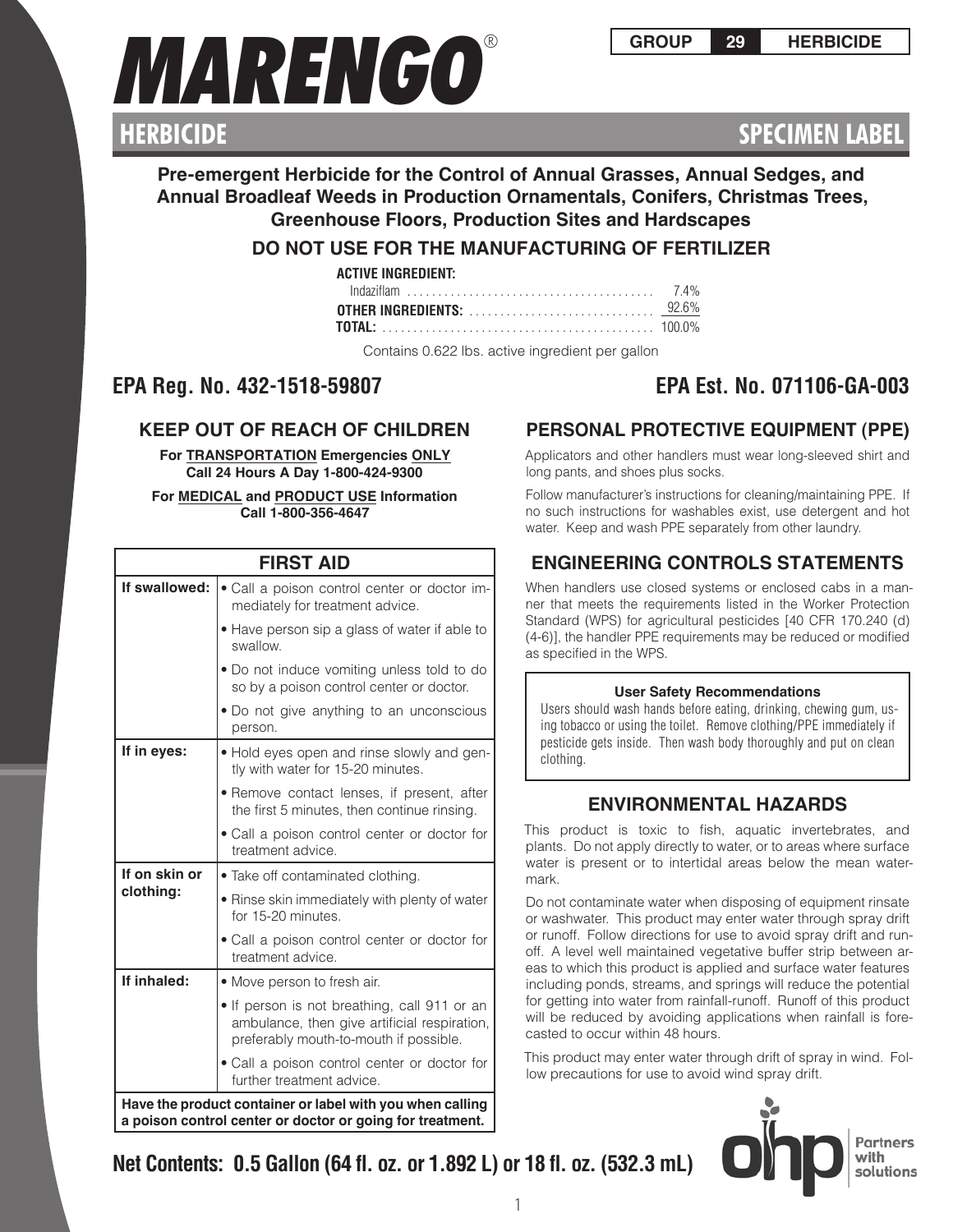

# **SPECIMEN LABEL**

# **Pre-emergent Herbicide for the Control of Annual Grasses, Annual Sedges, and Annual Broadleaf Weeds in Production Ornamentals, Conifers, Christmas Trees, Greenhouse Floors, Production Sites and Hardscapes**

# **DO NOT USE FOR THE MANUFACTURING OF FERTILIZER**

| ACTIVE INGREDIENT: |  |
|--------------------|--|
|                    |  |
|                    |  |
|                    |  |

Contains 0.622 lbs. active ingredient per gallon

# **EPA Reg. No. 432-1518-59807 EPA Est. No. 071106-GA-003**

# **KEEP OUT OF REACH OF CHILDREN**

**For TRANSPORTATION Emergencies ONLY Call 24 Hours A Day 1-800-424-9300**

## **For MEDICAL and PRODUCT USE Information Call 1-800-356-4647**

| <b>FIRST AID</b>                                                                                                       |                                                                                                                                        |  |
|------------------------------------------------------------------------------------------------------------------------|----------------------------------------------------------------------------------------------------------------------------------------|--|
| If swallowed:                                                                                                          | • Call a poison control center or doctor im-<br>mediately for treatment advice.                                                        |  |
|                                                                                                                        | • Have person sip a glass of water if able to<br>swallow.                                                                              |  |
|                                                                                                                        | • Do not induce vomiting unless told to do<br>so by a poison control center or doctor.                                                 |  |
|                                                                                                                        | • Do not give anything to an unconscious<br>person.                                                                                    |  |
| If in eyes:                                                                                                            | • Hold eyes open and rinse slowly and gen-<br>tly with water for 15-20 minutes.                                                        |  |
|                                                                                                                        | • Remove contact lenses, if present, after<br>the first 5 minutes, then continue rinsing.                                              |  |
|                                                                                                                        | • Call a poison control center or doctor for<br>treatment advice.                                                                      |  |
| If on skin or                                                                                                          | • Take off contaminated clothing.                                                                                                      |  |
| clothing:                                                                                                              | • Rinse skin immediately with plenty of water<br>for 15-20 minutes.                                                                    |  |
|                                                                                                                        | • Call a poison control center or doctor for<br>treatment advice.                                                                      |  |
| If inhaled:                                                                                                            | • Move person to fresh air.                                                                                                            |  |
|                                                                                                                        | • If person is not breathing, call 911 or an<br>ambulance, then give artificial respiration,<br>preferably mouth-to-mouth if possible. |  |
|                                                                                                                        | • Call a poison control center or doctor for<br>further treatment advice.                                                              |  |
| Have the product container or label with you when calling<br>a poison control center or doctor or going for treatment. |                                                                                                                                        |  |

# **PERSONAL PROTECTIVE EQUIPMENT (PPE)**

Applicators and other handlers must wear long-sleeved shirt and long pants, and shoes plus socks.

Follow manufacturer's instructions for cleaning/maintaining PPE. If no such instructions for washables exist, use detergent and hot water. Keep and wash PPE separately from other laundry.

# **ENGINEERING CONTROLS STATEMENTS**

When handlers use closed systems or enclosed cabs in a manner that meets the requirements listed in the Worker Protection Standard (WPS) for agricultural pesticides [40 CFR 170.240 (d) (4-6)], the handler PPE requirements may be reduced or modified as specified in the WPS.

# **User Safety Recommendations**

Users should wash hands before eating, drinking, chewing gum, using tobacco or using the toilet. Remove clothing/PPE immediately if pesticide gets inside. Then wash body thoroughly and put on clean clothing.

# **ENVIRONMENTAL HAZARDS**

This product is toxic to fish, aquatic invertebrates, and plants. Do not apply directly to water, or to areas where surface water is present or to intertidal areas below the mean watermark.

Do not contaminate water when disposing of equipment rinsate or washwater. This product may enter water through spray drift or runoff. Follow directions for use to avoid spray drift and runoff. A level well maintained vegetative buffer strip between areas to which this product is applied and surface water features including ponds, streams, and springs will reduce the potential for getting into water from rainfall-runoff. Runoff of this product will be reduced by avoiding applications when rainfall is forecasted to occur within 48 hours.

This product may enter water through drift of spray in wind. Follow precautions for use to avoid wind spray drift.

> Partners with solutions

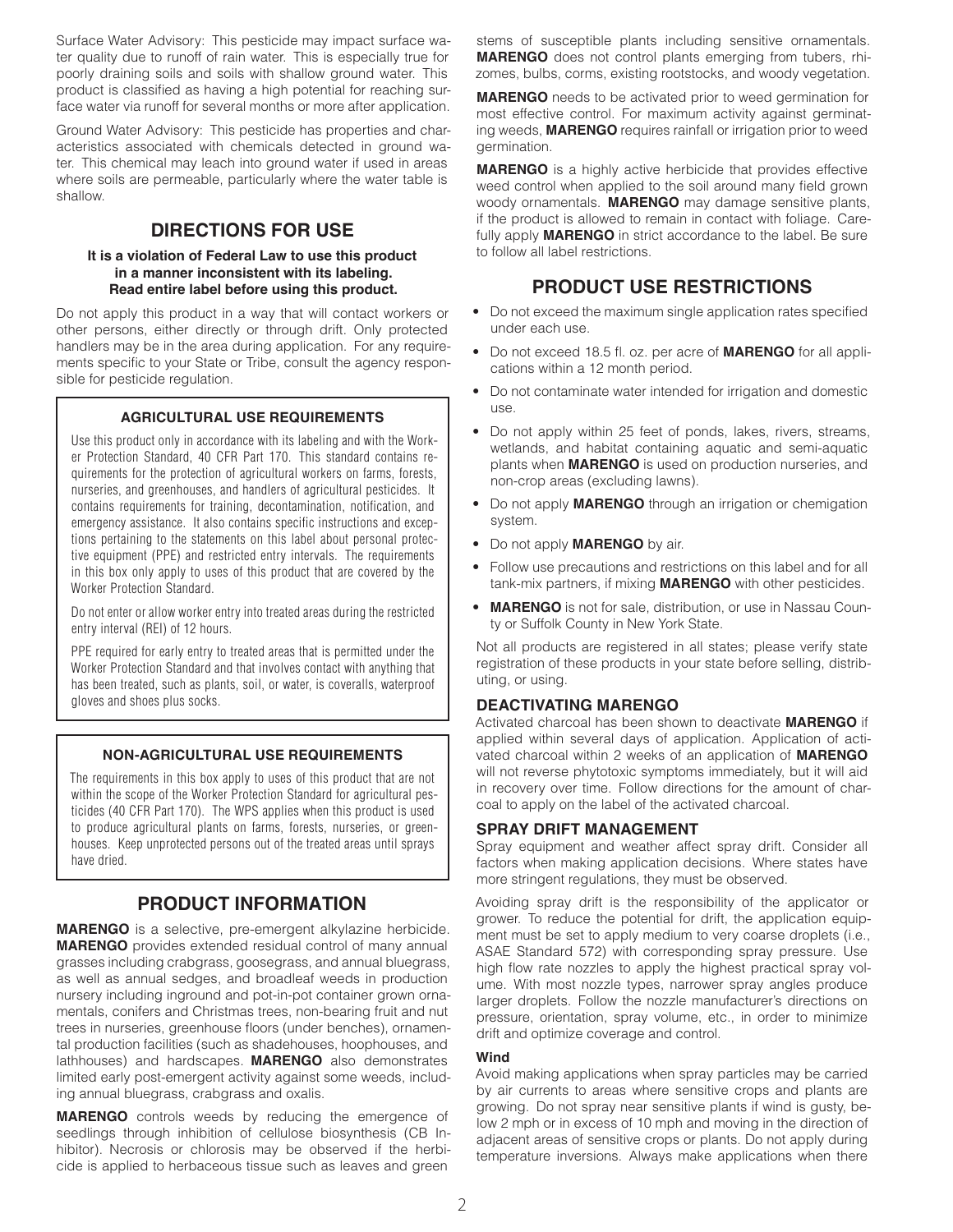Surface Water Advisory: This pesticide may impact surface water quality due to runoff of rain water. This is especially true for poorly draining soils and soils with shallow ground water. This product is classified as having a high potential for reaching surface water via runoff for several months or more after application.

Ground Water Advisory: This pesticide has properties and characteristics associated with chemicals detected in ground water. This chemical may leach into ground water if used in areas where soils are permeable, particularly where the water table is shallow.

# **DIRECTIONS FOR USE**

#### **It is a violation of Federal Law to use this product in a manner inconsistent with its labeling. Read entire label before using this product.**

Do not apply this product in a way that will contact workers or other persons, either directly or through drift. Only protected handlers may be in the area during application. For any requirements specific to your State or Tribe, consult the agency responsible for pesticide regulation.

## **AGRICULTURAL USE REQUIREMENTS**

Use this product only in accordance with its labeling and with the Worker Protection Standard, 40 CFR Part 170. This standard contains requirements for the protection of agricultural workers on farms, forests, nurseries, and greenhouses, and handlers of agricultural pesticides. It contains requirements for training, decontamination, notification, and emergency assistance. It also contains specific instructions and exceptions pertaining to the statements on this label about personal protective equipment (PPE) and restricted entry intervals. The requirements in this box only apply to uses of this product that are covered by the Worker Protection Standard.

Do not enter or allow worker entry into treated areas during the restricted entry interval (REI) of 12 hours.

PPE required for early entry to treated areas that is permitted under the Worker Protection Standard and that involves contact with anything that has been treated, such as plants, soil, or water, is coveralls, waterproof gloves and shoes plus socks.

## **NON-AGRICULTURAL USE REQUIREMENTS**

The requirements in this box apply to uses of this product that are not within the scope of the Worker Protection Standard for agricultural pesticides (40 CFR Part 170). The WPS applies when this product is used to produce agricultural plants on farms, forests, nurseries, or greenhouses. Keep unprotected persons out of the treated areas until sprays have dried.

# **PRODUCT INFORMATION**

**MARENGO** is a selective, pre-emergent alkylazine herbicide. **MARENGO** provides extended residual control of many annual grasses including crabgrass, goosegrass, and annual bluegrass, as well as annual sedges, and broadleaf weeds in production nursery including inground and pot-in-pot container grown ornamentals, conifers and Christmas trees, non-bearing fruit and nut trees in nurseries, greenhouse floors (under benches), ornamental production facilities (such as shadehouses, hoophouses, and lathhouses) and hardscapes. **MARENGO** also demonstrates limited early post-emergent activity against some weeds, including annual bluegrass, crabgrass and oxalis.

**MARENGO** controls weeds by reducing the emergence of seedlings through inhibition of cellulose biosynthesis (CB Inhibitor). Necrosis or chlorosis may be observed if the herbicide is applied to herbaceous tissue such as leaves and green

stems of susceptible plants including sensitive ornamentals. **MARENGO** does not control plants emerging from tubers, rhizomes, bulbs, corms, existing rootstocks, and woody vegetation.

**MARENGO** needs to be activated prior to weed germination for most effective control. For maximum activity against germinating weeds, **MARENGO** requires rainfall or irrigation prior to weed germination.

**MARENGO** is a highly active herbicide that provides effective weed control when applied to the soil around many field grown woody ornamentals. **MARENGO** may damage sensitive plants, if the product is allowed to remain in contact with foliage. Carefully apply **MARENGO** in strict accordance to the label. Be sure to follow all label restrictions.

# **PRODUCT USE RESTRICTIONS**

- Do not exceed the maximum single application rates specified under each use.
- Do not exceed 18.5 fl. oz. per acre of **MARENGO** for all applications within a 12 month period.
- Do not contaminate water intended for irrigation and domestic use.
- Do not apply within 25 feet of ponds, lakes, rivers, streams, wetlands, and habitat containing aquatic and semi-aquatic plants when **MARENGO** is used on production nurseries, and non-crop areas (excluding lawns).
- Do not apply **MARENGO** through an irrigation or chemigation system.
- Do not apply **MARENGO** by air.
- Follow use precautions and restrictions on this label and for all tank-mix partners, if mixing **MARENGO** with other pesticides.
- **MARENGO** is not for sale, distribution, or use in Nassau County or Suffolk County in New York State.

Not all products are registered in all states; please verify state registration of these products in your state before selling, distributing, or using.

# **DEACTIVATING MARENGO**

Activated charcoal has been shown to deactivate **MARENGO** if applied within several days of application. Application of activated charcoal within 2 weeks of an application of **MARENGO** will not reverse phytotoxic symptoms immediately, but it will aid in recovery over time. Follow directions for the amount of charcoal to apply on the label of the activated charcoal.

# **SPRAY DRIFT MANAGEMENT**

Spray equipment and weather affect spray drift. Consider all factors when making application decisions. Where states have more stringent regulations, they must be observed.

Avoiding spray drift is the responsibility of the applicator or grower. To reduce the potential for drift, the application equipment must be set to apply medium to very coarse droplets (i.e., ASAE Standard 572) with corresponding spray pressure. Use high flow rate nozzles to apply the highest practical spray volume. With most nozzle types, narrower spray angles produce larger droplets. Follow the nozzle manufacturer's directions on pressure, orientation, spray volume, etc., in order to minimize drift and optimize coverage and control.

## **Wind**

Avoid making applications when spray particles may be carried by air currents to areas where sensitive crops and plants are growing. Do not spray near sensitive plants if wind is gusty, below 2 mph or in excess of 10 mph and moving in the direction of adjacent areas of sensitive crops or plants. Do not apply during temperature inversions. Always make applications when there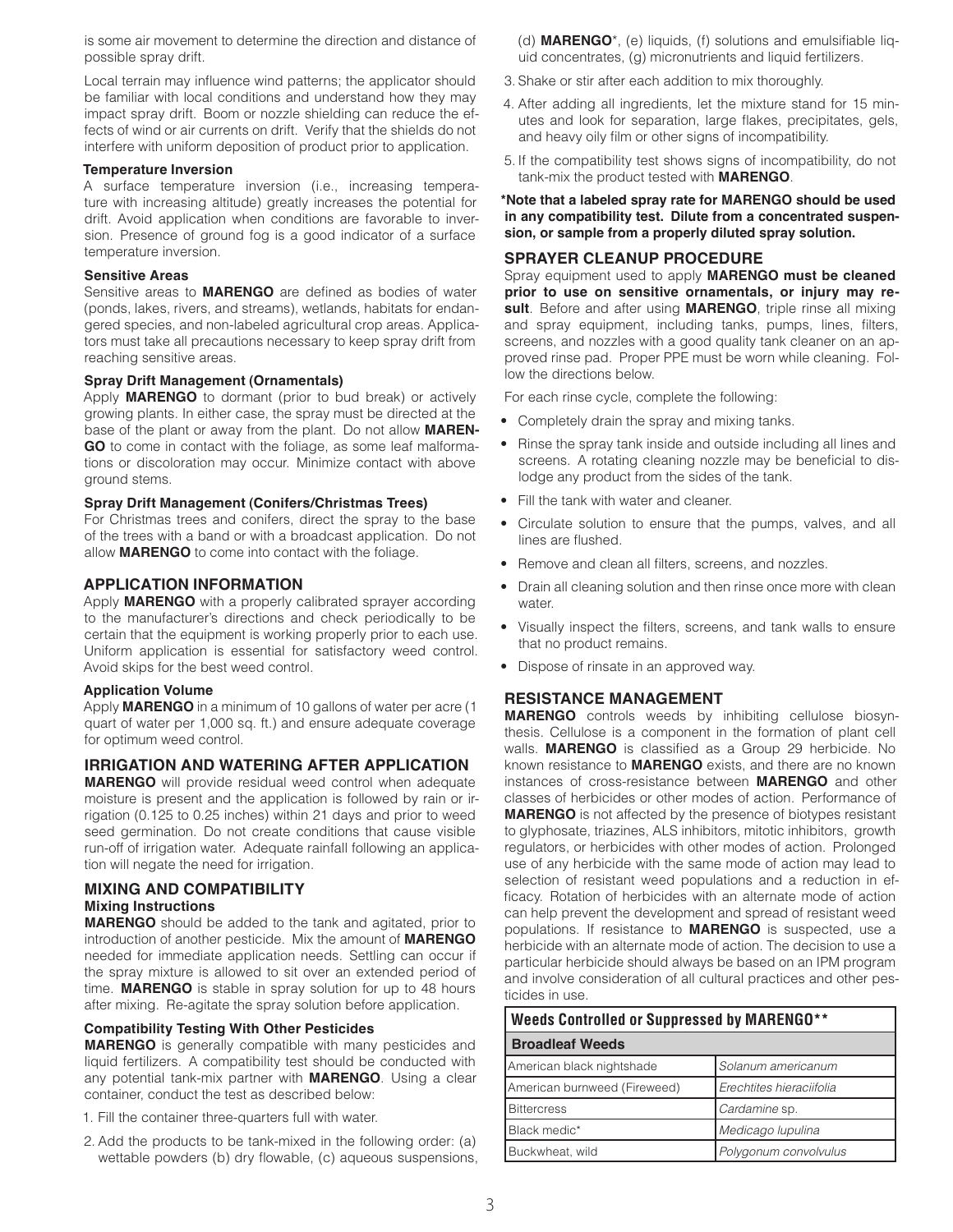is some air movement to determine the direction and distance of possible spray drift.

Local terrain may influence wind patterns; the applicator should be familiar with local conditions and understand how they may impact spray drift. Boom or nozzle shielding can reduce the effects of wind or air currents on drift. Verify that the shields do not interfere with uniform deposition of product prior to application.

#### **Temperature Inversion**

A surface temperature inversion (i.e., increasing temperature with increasing altitude) greatly increases the potential for drift. Avoid application when conditions are favorable to inversion. Presence of ground fog is a good indicator of a surface temperature inversion.

#### **Sensitive Areas**

Sensitive areas to **MARENGO** are defined as bodies of water (ponds, lakes, rivers, and streams), wetlands, habitats for endangered species, and non-labeled agricultural crop areas. Applicators must take all precautions necessary to keep spray drift from reaching sensitive areas.

#### **Spray Drift Management (Ornamentals)**

Apply **MARENGO** to dormant (prior to bud break) or actively growing plants. In either case, the spray must be directed at the base of the plant or away from the plant. Do not allow **MAREN-GO** to come in contact with the foliage, as some leaf malformations or discoloration may occur. Minimize contact with above ground stems.

#### **Spray Drift Management (Conifers/Christmas Trees)**

For Christmas trees and conifers, direct the spray to the base of the trees with a band or with a broadcast application. Do not allow **MARENGO** to come into contact with the foliage.

#### **APPLICATION INFORMATION**

Apply **MARENGO** with a properly calibrated sprayer according to the manufacturer's directions and check periodically to be certain that the equipment is working properly prior to each use. Uniform application is essential for satisfactory weed control. Avoid skips for the best weed control.

#### **Application Volume**

Apply **MARENGO** in a minimum of 10 gallons of water per acre (1 quart of water per 1,000 sq. ft.) and ensure adequate coverage for optimum weed control.

#### **IRRIGATION AND WATERING AFTER APPLICATION**

**MARENGO** will provide residual weed control when adequate moisture is present and the application is followed by rain or irrigation (0.125 to 0.25 inches) within 21 days and prior to weed seed germination. Do not create conditions that cause visible run-off of irrigation water. Adequate rainfall following an application will negate the need for irrigation.

# **MIXING AND COMPATIBILITY**

## **Mixing Instructions**

**MARENGO** should be added to the tank and agitated, prior to introduction of another pesticide. Mix the amount of **MARENGO** needed for immediate application needs. Settling can occur if the spray mixture is allowed to sit over an extended period of time. **MARENGO** is stable in spray solution for up to 48 hours after mixing. Re-agitate the spray solution before application.

#### **Compatibility Testing With Other Pesticides**

**MARENGO** is generally compatible with many pesticides and liquid fertilizers. A compatibility test should be conducted with any potential tank-mix partner with **MARENGO**. Using a clear container, conduct the test as described below:

- 1. Fill the container three-quarters full with water.
- 2. Add the products to be tank-mixed in the following order: (a) wettable powders (b) dry flowable, (c) aqueous suspensions,

(d) **MARENGO**\*, (e) liquids, (f) solutions and emulsifiable liquid concentrates, (g) micronutrients and liquid fertilizers.

- 3. Shake or stir after each addition to mix thoroughly.
- 4. After adding all ingredients, let the mixture stand for 15 minutes and look for separation, large flakes, precipitates, gels, and heavy oily film or other signs of incompatibility.
- 5. If the compatibility test shows signs of incompatibility, do not tank-mix the product tested with **MARENGO**.

#### **\*Note that a labeled spray rate for MARENGO should be used in any compatibility test. Dilute from a concentrated suspension, or sample from a properly diluted spray solution.**

#### **SPRAYER CLEANUP PROCEDURE**

Spray equipment used to apply **MARENGO must be cleaned prior to use on sensitive ornamentals, or injury may result**. Before and after using **MARENGO**, triple rinse all mixing and spray equipment, including tanks, pumps, lines, filters, screens, and nozzles with a good quality tank cleaner on an approved rinse pad. Proper PPE must be worn while cleaning. Follow the directions below.

For each rinse cycle, complete the following:

- Completely drain the spray and mixing tanks.
- Rinse the spray tank inside and outside including all lines and screens. A rotating cleaning nozzle may be beneficial to dislodge any product from the sides of the tank.
- Fill the tank with water and cleaner.
- Circulate solution to ensure that the pumps, valves, and all lines are flushed.
- Remove and clean all filters, screens, and nozzles.
- Drain all cleaning solution and then rinse once more with clean water.
- Visually inspect the filters, screens, and tank walls to ensure that no product remains.
- Dispose of rinsate in an approved way.

#### **RESISTANCE MANAGEMENT**

**MARENGO** controls weeds by inhibiting cellulose biosynthesis. Cellulose is a component in the formation of plant cell walls. **MARENGO** is classified as a Group 29 herbicide. No known resistance to **MARENGO** exists, and there are no known instances of cross-resistance between **MARENGO** and other classes of herbicides or other modes of action. Performance of **MARENGO** is not affected by the presence of biotypes resistant to glyphosate, triazines, ALS inhibitors, mitotic inhibitors, growth regulators, or herbicides with other modes of action. Prolonged use of any herbicide with the same mode of action may lead to selection of resistant weed populations and a reduction in efficacy. Rotation of herbicides with an alternate mode of action can help prevent the development and spread of resistant weed populations. If resistance to **MARENGO** is suspected, use a herbicide with an alternate mode of action. The decision to use a particular herbicide should always be based on an IPM program and involve consideration of all cultural practices and other pesticides in use.

# **Weeds Controlled or Suppressed by MARENGO\*\*** *continued* **Broadleaf Weeds** American black nightshade *Solanum americanum* American burnweed (Fireweed) *Erechtites hieraciifolia* Bittercress *Cardamine* sp. Black medic\* *Medicago lupulina* Buckwheat, wild *Polygonum convolvulus*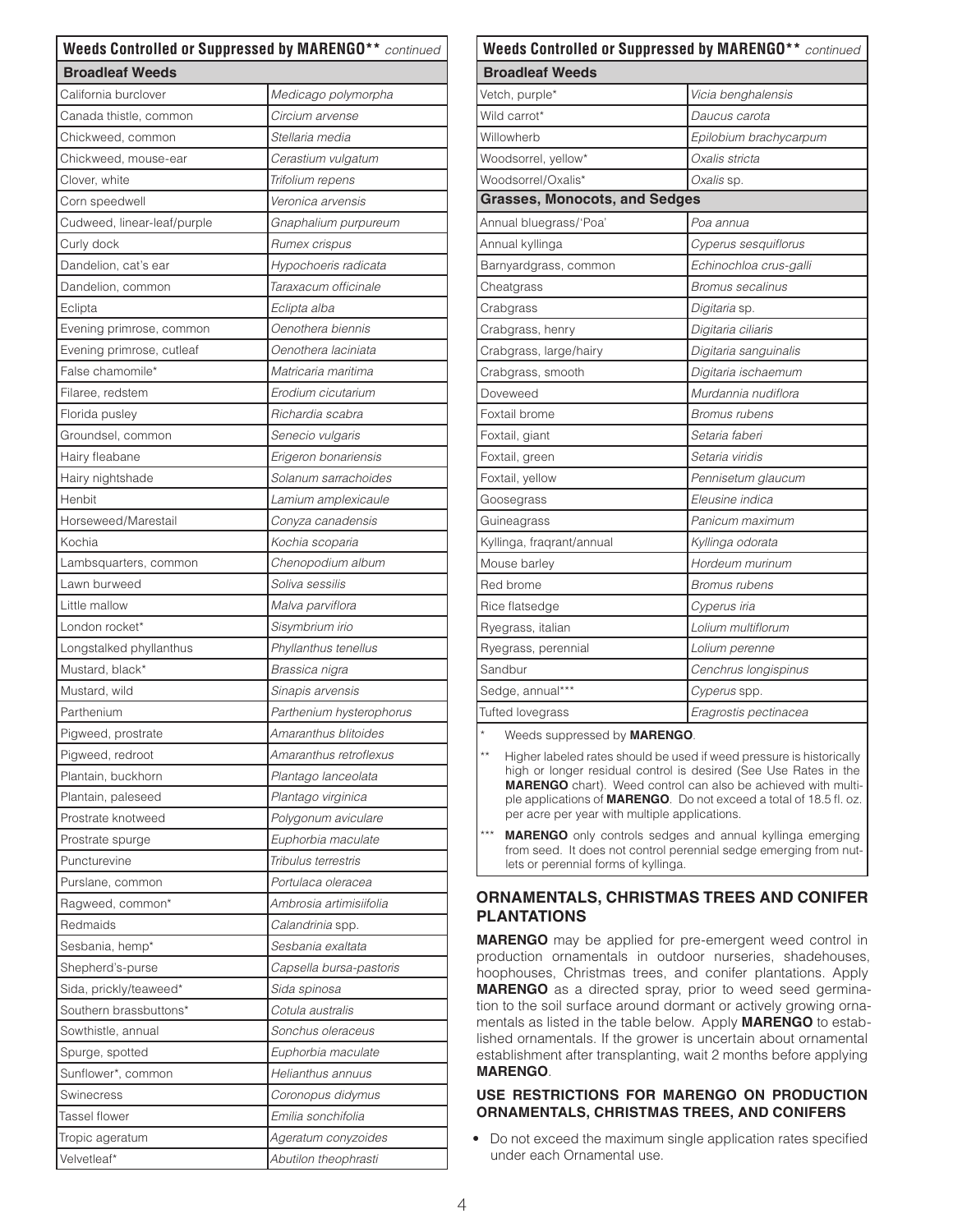| <b>Broadleaf Weeds</b><br>California burclover<br>Medicago polymorpha<br>Canada thistle, common<br>Circium arvense<br>Chickweed, common<br>Stellaria media<br>Chickweed, mouse-ear<br>Cerastium vulgatum<br>Clover, white<br>Trifolium repens<br>Veronica arvensis<br>Corn speedwell<br>Cudweed, linear-leaf/purple<br>Gnaphalium purpureum<br>Curly dock<br>Rumex crispus<br>Dandelion, cat's ear<br>Hypochoeris radicata<br>Taraxacum officinale<br>Dandelion, common<br>Eclipta<br>Eclipta alba<br>Oenothera biennis<br>Evening primrose, common<br>Oenothera laciniata<br>Evening primrose, cutleaf<br>False chamomile*<br>Matricaria maritima<br>Erodium cicutarium<br>Filaree, redstem<br>Richardia scabra<br>Florida pusley<br>Groundsel, common<br>Senecio vulgaris<br>Hairy fleabane<br>Erigeron bonariensis<br>Hairy nightshade<br>Solanum sarrachoides<br>Henbit<br>Lamium amplexicaule<br>Horseweed/Marestail<br>Conyza canadensis<br>Kochia<br>Kochia scoparia<br>Chenopodium album<br>Lambsquarters, common<br>Soliva sessilis<br>Lawn burweed<br>Little mallow<br>Malva parviflora<br>London rocket*<br>Sisymbrium irio<br>Phyllanthus tenellus<br>Longstalked phyllanthus<br>Mustard, black*<br>Brassica nigra<br>Mustard, wild<br>Sinapis arvensis<br>Parthenium<br>Parthenium hysterophorus<br>Amaranthus blitoides<br>Pigweed, prostrate<br>Pigweed, redroot<br>Amaranthus retroflexus<br>Plantain, buckhorn<br>Plantago lanceolata<br>Plantain, paleseed<br>Plantago virginica<br>Prostrate knotweed<br>Polygonum aviculare<br>Prostrate spurge<br>Euphorbia maculate<br>Puncturevine<br>Tribulus terrestris<br>Portulaca oleracea<br>Purslane, common<br>Ragweed, common*<br>Ambrosia artimisiifolia<br>Redmaids<br>Calandrinia spp.<br>Sesbania, hemp*<br>Sesbania exaltata<br>Shepherd's-purse<br>Capsella bursa-pastoris<br>Sida, prickly/teaweed*<br>Sida spinosa<br>Southern brassbuttons*<br>Cotula australis<br>Sowthistle, annual<br>Sonchus oleraceus<br>Euphorbia maculate<br>Spurge, spotted<br>Helianthus annuus<br>Sunflower*, common<br>Swinecress<br>Coronopus didymus<br>Emilia sonchifolia<br>Tassel flower<br>Tropic ageratum<br>Ageratum conyzoides | Weeds Controlled or Suppressed by MARENGO** continued |                      |  |
|---------------------------------------------------------------------------------------------------------------------------------------------------------------------------------------------------------------------------------------------------------------------------------------------------------------------------------------------------------------------------------------------------------------------------------------------------------------------------------------------------------------------------------------------------------------------------------------------------------------------------------------------------------------------------------------------------------------------------------------------------------------------------------------------------------------------------------------------------------------------------------------------------------------------------------------------------------------------------------------------------------------------------------------------------------------------------------------------------------------------------------------------------------------------------------------------------------------------------------------------------------------------------------------------------------------------------------------------------------------------------------------------------------------------------------------------------------------------------------------------------------------------------------------------------------------------------------------------------------------------------------------------------------------------------------------------------------------------------------------------------------------------------------------------------------------------------------------------------------------------------------------------------------------------------------------------------------------------------------------------------------------------------------------------------------------------------------------------------------------------------------------------------------------------------------------------|-------------------------------------------------------|----------------------|--|
|                                                                                                                                                                                                                                                                                                                                                                                                                                                                                                                                                                                                                                                                                                                                                                                                                                                                                                                                                                                                                                                                                                                                                                                                                                                                                                                                                                                                                                                                                                                                                                                                                                                                                                                                                                                                                                                                                                                                                                                                                                                                                                                                                                                             |                                                       |                      |  |
|                                                                                                                                                                                                                                                                                                                                                                                                                                                                                                                                                                                                                                                                                                                                                                                                                                                                                                                                                                                                                                                                                                                                                                                                                                                                                                                                                                                                                                                                                                                                                                                                                                                                                                                                                                                                                                                                                                                                                                                                                                                                                                                                                                                             |                                                       |                      |  |
|                                                                                                                                                                                                                                                                                                                                                                                                                                                                                                                                                                                                                                                                                                                                                                                                                                                                                                                                                                                                                                                                                                                                                                                                                                                                                                                                                                                                                                                                                                                                                                                                                                                                                                                                                                                                                                                                                                                                                                                                                                                                                                                                                                                             |                                                       |                      |  |
|                                                                                                                                                                                                                                                                                                                                                                                                                                                                                                                                                                                                                                                                                                                                                                                                                                                                                                                                                                                                                                                                                                                                                                                                                                                                                                                                                                                                                                                                                                                                                                                                                                                                                                                                                                                                                                                                                                                                                                                                                                                                                                                                                                                             |                                                       |                      |  |
|                                                                                                                                                                                                                                                                                                                                                                                                                                                                                                                                                                                                                                                                                                                                                                                                                                                                                                                                                                                                                                                                                                                                                                                                                                                                                                                                                                                                                                                                                                                                                                                                                                                                                                                                                                                                                                                                                                                                                                                                                                                                                                                                                                                             |                                                       |                      |  |
|                                                                                                                                                                                                                                                                                                                                                                                                                                                                                                                                                                                                                                                                                                                                                                                                                                                                                                                                                                                                                                                                                                                                                                                                                                                                                                                                                                                                                                                                                                                                                                                                                                                                                                                                                                                                                                                                                                                                                                                                                                                                                                                                                                                             |                                                       |                      |  |
|                                                                                                                                                                                                                                                                                                                                                                                                                                                                                                                                                                                                                                                                                                                                                                                                                                                                                                                                                                                                                                                                                                                                                                                                                                                                                                                                                                                                                                                                                                                                                                                                                                                                                                                                                                                                                                                                                                                                                                                                                                                                                                                                                                                             |                                                       |                      |  |
|                                                                                                                                                                                                                                                                                                                                                                                                                                                                                                                                                                                                                                                                                                                                                                                                                                                                                                                                                                                                                                                                                                                                                                                                                                                                                                                                                                                                                                                                                                                                                                                                                                                                                                                                                                                                                                                                                                                                                                                                                                                                                                                                                                                             |                                                       |                      |  |
|                                                                                                                                                                                                                                                                                                                                                                                                                                                                                                                                                                                                                                                                                                                                                                                                                                                                                                                                                                                                                                                                                                                                                                                                                                                                                                                                                                                                                                                                                                                                                                                                                                                                                                                                                                                                                                                                                                                                                                                                                                                                                                                                                                                             |                                                       |                      |  |
|                                                                                                                                                                                                                                                                                                                                                                                                                                                                                                                                                                                                                                                                                                                                                                                                                                                                                                                                                                                                                                                                                                                                                                                                                                                                                                                                                                                                                                                                                                                                                                                                                                                                                                                                                                                                                                                                                                                                                                                                                                                                                                                                                                                             |                                                       |                      |  |
|                                                                                                                                                                                                                                                                                                                                                                                                                                                                                                                                                                                                                                                                                                                                                                                                                                                                                                                                                                                                                                                                                                                                                                                                                                                                                                                                                                                                                                                                                                                                                                                                                                                                                                                                                                                                                                                                                                                                                                                                                                                                                                                                                                                             |                                                       |                      |  |
|                                                                                                                                                                                                                                                                                                                                                                                                                                                                                                                                                                                                                                                                                                                                                                                                                                                                                                                                                                                                                                                                                                                                                                                                                                                                                                                                                                                                                                                                                                                                                                                                                                                                                                                                                                                                                                                                                                                                                                                                                                                                                                                                                                                             |                                                       |                      |  |
|                                                                                                                                                                                                                                                                                                                                                                                                                                                                                                                                                                                                                                                                                                                                                                                                                                                                                                                                                                                                                                                                                                                                                                                                                                                                                                                                                                                                                                                                                                                                                                                                                                                                                                                                                                                                                                                                                                                                                                                                                                                                                                                                                                                             |                                                       |                      |  |
|                                                                                                                                                                                                                                                                                                                                                                                                                                                                                                                                                                                                                                                                                                                                                                                                                                                                                                                                                                                                                                                                                                                                                                                                                                                                                                                                                                                                                                                                                                                                                                                                                                                                                                                                                                                                                                                                                                                                                                                                                                                                                                                                                                                             |                                                       |                      |  |
|                                                                                                                                                                                                                                                                                                                                                                                                                                                                                                                                                                                                                                                                                                                                                                                                                                                                                                                                                                                                                                                                                                                                                                                                                                                                                                                                                                                                                                                                                                                                                                                                                                                                                                                                                                                                                                                                                                                                                                                                                                                                                                                                                                                             |                                                       |                      |  |
|                                                                                                                                                                                                                                                                                                                                                                                                                                                                                                                                                                                                                                                                                                                                                                                                                                                                                                                                                                                                                                                                                                                                                                                                                                                                                                                                                                                                                                                                                                                                                                                                                                                                                                                                                                                                                                                                                                                                                                                                                                                                                                                                                                                             |                                                       |                      |  |
|                                                                                                                                                                                                                                                                                                                                                                                                                                                                                                                                                                                                                                                                                                                                                                                                                                                                                                                                                                                                                                                                                                                                                                                                                                                                                                                                                                                                                                                                                                                                                                                                                                                                                                                                                                                                                                                                                                                                                                                                                                                                                                                                                                                             |                                                       |                      |  |
|                                                                                                                                                                                                                                                                                                                                                                                                                                                                                                                                                                                                                                                                                                                                                                                                                                                                                                                                                                                                                                                                                                                                                                                                                                                                                                                                                                                                                                                                                                                                                                                                                                                                                                                                                                                                                                                                                                                                                                                                                                                                                                                                                                                             |                                                       |                      |  |
|                                                                                                                                                                                                                                                                                                                                                                                                                                                                                                                                                                                                                                                                                                                                                                                                                                                                                                                                                                                                                                                                                                                                                                                                                                                                                                                                                                                                                                                                                                                                                                                                                                                                                                                                                                                                                                                                                                                                                                                                                                                                                                                                                                                             |                                                       |                      |  |
|                                                                                                                                                                                                                                                                                                                                                                                                                                                                                                                                                                                                                                                                                                                                                                                                                                                                                                                                                                                                                                                                                                                                                                                                                                                                                                                                                                                                                                                                                                                                                                                                                                                                                                                                                                                                                                                                                                                                                                                                                                                                                                                                                                                             |                                                       |                      |  |
|                                                                                                                                                                                                                                                                                                                                                                                                                                                                                                                                                                                                                                                                                                                                                                                                                                                                                                                                                                                                                                                                                                                                                                                                                                                                                                                                                                                                                                                                                                                                                                                                                                                                                                                                                                                                                                                                                                                                                                                                                                                                                                                                                                                             |                                                       |                      |  |
|                                                                                                                                                                                                                                                                                                                                                                                                                                                                                                                                                                                                                                                                                                                                                                                                                                                                                                                                                                                                                                                                                                                                                                                                                                                                                                                                                                                                                                                                                                                                                                                                                                                                                                                                                                                                                                                                                                                                                                                                                                                                                                                                                                                             |                                                       |                      |  |
|                                                                                                                                                                                                                                                                                                                                                                                                                                                                                                                                                                                                                                                                                                                                                                                                                                                                                                                                                                                                                                                                                                                                                                                                                                                                                                                                                                                                                                                                                                                                                                                                                                                                                                                                                                                                                                                                                                                                                                                                                                                                                                                                                                                             |                                                       |                      |  |
|                                                                                                                                                                                                                                                                                                                                                                                                                                                                                                                                                                                                                                                                                                                                                                                                                                                                                                                                                                                                                                                                                                                                                                                                                                                                                                                                                                                                                                                                                                                                                                                                                                                                                                                                                                                                                                                                                                                                                                                                                                                                                                                                                                                             |                                                       |                      |  |
|                                                                                                                                                                                                                                                                                                                                                                                                                                                                                                                                                                                                                                                                                                                                                                                                                                                                                                                                                                                                                                                                                                                                                                                                                                                                                                                                                                                                                                                                                                                                                                                                                                                                                                                                                                                                                                                                                                                                                                                                                                                                                                                                                                                             |                                                       |                      |  |
|                                                                                                                                                                                                                                                                                                                                                                                                                                                                                                                                                                                                                                                                                                                                                                                                                                                                                                                                                                                                                                                                                                                                                                                                                                                                                                                                                                                                                                                                                                                                                                                                                                                                                                                                                                                                                                                                                                                                                                                                                                                                                                                                                                                             |                                                       |                      |  |
|                                                                                                                                                                                                                                                                                                                                                                                                                                                                                                                                                                                                                                                                                                                                                                                                                                                                                                                                                                                                                                                                                                                                                                                                                                                                                                                                                                                                                                                                                                                                                                                                                                                                                                                                                                                                                                                                                                                                                                                                                                                                                                                                                                                             |                                                       |                      |  |
|                                                                                                                                                                                                                                                                                                                                                                                                                                                                                                                                                                                                                                                                                                                                                                                                                                                                                                                                                                                                                                                                                                                                                                                                                                                                                                                                                                                                                                                                                                                                                                                                                                                                                                                                                                                                                                                                                                                                                                                                                                                                                                                                                                                             |                                                       |                      |  |
|                                                                                                                                                                                                                                                                                                                                                                                                                                                                                                                                                                                                                                                                                                                                                                                                                                                                                                                                                                                                                                                                                                                                                                                                                                                                                                                                                                                                                                                                                                                                                                                                                                                                                                                                                                                                                                                                                                                                                                                                                                                                                                                                                                                             |                                                       |                      |  |
|                                                                                                                                                                                                                                                                                                                                                                                                                                                                                                                                                                                                                                                                                                                                                                                                                                                                                                                                                                                                                                                                                                                                                                                                                                                                                                                                                                                                                                                                                                                                                                                                                                                                                                                                                                                                                                                                                                                                                                                                                                                                                                                                                                                             |                                                       |                      |  |
|                                                                                                                                                                                                                                                                                                                                                                                                                                                                                                                                                                                                                                                                                                                                                                                                                                                                                                                                                                                                                                                                                                                                                                                                                                                                                                                                                                                                                                                                                                                                                                                                                                                                                                                                                                                                                                                                                                                                                                                                                                                                                                                                                                                             |                                                       |                      |  |
|                                                                                                                                                                                                                                                                                                                                                                                                                                                                                                                                                                                                                                                                                                                                                                                                                                                                                                                                                                                                                                                                                                                                                                                                                                                                                                                                                                                                                                                                                                                                                                                                                                                                                                                                                                                                                                                                                                                                                                                                                                                                                                                                                                                             |                                                       |                      |  |
|                                                                                                                                                                                                                                                                                                                                                                                                                                                                                                                                                                                                                                                                                                                                                                                                                                                                                                                                                                                                                                                                                                                                                                                                                                                                                                                                                                                                                                                                                                                                                                                                                                                                                                                                                                                                                                                                                                                                                                                                                                                                                                                                                                                             |                                                       |                      |  |
|                                                                                                                                                                                                                                                                                                                                                                                                                                                                                                                                                                                                                                                                                                                                                                                                                                                                                                                                                                                                                                                                                                                                                                                                                                                                                                                                                                                                                                                                                                                                                                                                                                                                                                                                                                                                                                                                                                                                                                                                                                                                                                                                                                                             |                                                       |                      |  |
|                                                                                                                                                                                                                                                                                                                                                                                                                                                                                                                                                                                                                                                                                                                                                                                                                                                                                                                                                                                                                                                                                                                                                                                                                                                                                                                                                                                                                                                                                                                                                                                                                                                                                                                                                                                                                                                                                                                                                                                                                                                                                                                                                                                             |                                                       |                      |  |
|                                                                                                                                                                                                                                                                                                                                                                                                                                                                                                                                                                                                                                                                                                                                                                                                                                                                                                                                                                                                                                                                                                                                                                                                                                                                                                                                                                                                                                                                                                                                                                                                                                                                                                                                                                                                                                                                                                                                                                                                                                                                                                                                                                                             |                                                       |                      |  |
|                                                                                                                                                                                                                                                                                                                                                                                                                                                                                                                                                                                                                                                                                                                                                                                                                                                                                                                                                                                                                                                                                                                                                                                                                                                                                                                                                                                                                                                                                                                                                                                                                                                                                                                                                                                                                                                                                                                                                                                                                                                                                                                                                                                             |                                                       |                      |  |
|                                                                                                                                                                                                                                                                                                                                                                                                                                                                                                                                                                                                                                                                                                                                                                                                                                                                                                                                                                                                                                                                                                                                                                                                                                                                                                                                                                                                                                                                                                                                                                                                                                                                                                                                                                                                                                                                                                                                                                                                                                                                                                                                                                                             |                                                       |                      |  |
|                                                                                                                                                                                                                                                                                                                                                                                                                                                                                                                                                                                                                                                                                                                                                                                                                                                                                                                                                                                                                                                                                                                                                                                                                                                                                                                                                                                                                                                                                                                                                                                                                                                                                                                                                                                                                                                                                                                                                                                                                                                                                                                                                                                             |                                                       |                      |  |
|                                                                                                                                                                                                                                                                                                                                                                                                                                                                                                                                                                                                                                                                                                                                                                                                                                                                                                                                                                                                                                                                                                                                                                                                                                                                                                                                                                                                                                                                                                                                                                                                                                                                                                                                                                                                                                                                                                                                                                                                                                                                                                                                                                                             |                                                       |                      |  |
|                                                                                                                                                                                                                                                                                                                                                                                                                                                                                                                                                                                                                                                                                                                                                                                                                                                                                                                                                                                                                                                                                                                                                                                                                                                                                                                                                                                                                                                                                                                                                                                                                                                                                                                                                                                                                                                                                                                                                                                                                                                                                                                                                                                             |                                                       |                      |  |
|                                                                                                                                                                                                                                                                                                                                                                                                                                                                                                                                                                                                                                                                                                                                                                                                                                                                                                                                                                                                                                                                                                                                                                                                                                                                                                                                                                                                                                                                                                                                                                                                                                                                                                                                                                                                                                                                                                                                                                                                                                                                                                                                                                                             |                                                       |                      |  |
|                                                                                                                                                                                                                                                                                                                                                                                                                                                                                                                                                                                                                                                                                                                                                                                                                                                                                                                                                                                                                                                                                                                                                                                                                                                                                                                                                                                                                                                                                                                                                                                                                                                                                                                                                                                                                                                                                                                                                                                                                                                                                                                                                                                             |                                                       |                      |  |
|                                                                                                                                                                                                                                                                                                                                                                                                                                                                                                                                                                                                                                                                                                                                                                                                                                                                                                                                                                                                                                                                                                                                                                                                                                                                                                                                                                                                                                                                                                                                                                                                                                                                                                                                                                                                                                                                                                                                                                                                                                                                                                                                                                                             |                                                       |                      |  |
|                                                                                                                                                                                                                                                                                                                                                                                                                                                                                                                                                                                                                                                                                                                                                                                                                                                                                                                                                                                                                                                                                                                                                                                                                                                                                                                                                                                                                                                                                                                                                                                                                                                                                                                                                                                                                                                                                                                                                                                                                                                                                                                                                                                             |                                                       |                      |  |
|                                                                                                                                                                                                                                                                                                                                                                                                                                                                                                                                                                                                                                                                                                                                                                                                                                                                                                                                                                                                                                                                                                                                                                                                                                                                                                                                                                                                                                                                                                                                                                                                                                                                                                                                                                                                                                                                                                                                                                                                                                                                                                                                                                                             |                                                       |                      |  |
|                                                                                                                                                                                                                                                                                                                                                                                                                                                                                                                                                                                                                                                                                                                                                                                                                                                                                                                                                                                                                                                                                                                                                                                                                                                                                                                                                                                                                                                                                                                                                                                                                                                                                                                                                                                                                                                                                                                                                                                                                                                                                                                                                                                             |                                                       |                      |  |
|                                                                                                                                                                                                                                                                                                                                                                                                                                                                                                                                                                                                                                                                                                                                                                                                                                                                                                                                                                                                                                                                                                                                                                                                                                                                                                                                                                                                                                                                                                                                                                                                                                                                                                                                                                                                                                                                                                                                                                                                                                                                                                                                                                                             |                                                       |                      |  |
|                                                                                                                                                                                                                                                                                                                                                                                                                                                                                                                                                                                                                                                                                                                                                                                                                                                                                                                                                                                                                                                                                                                                                                                                                                                                                                                                                                                                                                                                                                                                                                                                                                                                                                                                                                                                                                                                                                                                                                                                                                                                                                                                                                                             |                                                       |                      |  |
|                                                                                                                                                                                                                                                                                                                                                                                                                                                                                                                                                                                                                                                                                                                                                                                                                                                                                                                                                                                                                                                                                                                                                                                                                                                                                                                                                                                                                                                                                                                                                                                                                                                                                                                                                                                                                                                                                                                                                                                                                                                                                                                                                                                             |                                                       |                      |  |
|                                                                                                                                                                                                                                                                                                                                                                                                                                                                                                                                                                                                                                                                                                                                                                                                                                                                                                                                                                                                                                                                                                                                                                                                                                                                                                                                                                                                                                                                                                                                                                                                                                                                                                                                                                                                                                                                                                                                                                                                                                                                                                                                                                                             |                                                       |                      |  |
|                                                                                                                                                                                                                                                                                                                                                                                                                                                                                                                                                                                                                                                                                                                                                                                                                                                                                                                                                                                                                                                                                                                                                                                                                                                                                                                                                                                                                                                                                                                                                                                                                                                                                                                                                                                                                                                                                                                                                                                                                                                                                                                                                                                             | Velvetleaf*                                           | Abutilon theophrasti |  |

| Weeds Controlled or Suppressed by MARENGO** continued |                         |  |
|-------------------------------------------------------|-------------------------|--|
| <b>Broadleaf Weeds</b>                                |                         |  |
| Vetch, purple*                                        | Vicia benghalensis      |  |
| Wild carrot*                                          | Daucus carota           |  |
| Willowherb                                            | Epilobium brachycarpum  |  |
| Woodsorrel, yellow*                                   | Oxalis stricta          |  |
| Woodsorrel/Oxalis*                                    | Oxalis sp.              |  |
| <b>Grasses, Monocots, and Sedges</b>                  |                         |  |
| Annual bluegrass/'Poa'                                | Poa annua               |  |
| Annual kyllinga                                       | Cyperus sesquiflorus    |  |
| Barnyardgrass, common                                 | Echinochloa crus-galli  |  |
| Cheatgrass                                            | <b>Bromus secalinus</b> |  |
| Crabgrass                                             | Digitaria sp.           |  |
| Crabgrass, henry                                      | Digitaria ciliaris      |  |
| Crabgrass, large/hairy                                | Digitaria sanguinalis   |  |
| Crabgrass, smooth                                     | Digitaria ischaemum     |  |
| Doveweed                                              | Murdannia nudiflora     |  |
| Foxtail brome                                         | <b>Bromus rubens</b>    |  |
| Foxtail, giant                                        | Setaria faberi          |  |
| Foxtail, green                                        | Setaria viridis         |  |
| Foxtail, yellow                                       | Pennisetum glaucum      |  |
| Goosegrass                                            | Eleusine indica         |  |
| Guineagrass                                           | Panicum maximum         |  |
| Kyllinga, fraqrant/annual                             | Kyllinga odorata        |  |
| Mouse barley                                          | Hordeum murinum         |  |
| Red brome                                             | <b>Bromus rubens</b>    |  |
| Rice flatsedge                                        | Cyperus iria            |  |
| Ryegrass, italian                                     | Lolium multiflorum      |  |
| Ryegrass, perennial                                   | Lolium perenne          |  |
| Sandbur                                               | Cenchrus longispinus    |  |
| Sedge, annual***                                      | Cyperus spp.            |  |
| Tufted lovegrass                                      | Eragrostis pectinacea   |  |
| Woode cupproceed by <b>MADENCO</b>                    |                         |  |

Weeds suppressed by **MARENGO**.

- Higher labeled rates should be used if weed pressure is historically high or longer residual control is desired (See Use Rates in the **MARENGO** chart). Weed control can also be achieved with multiple applications of **MARENGO**. Do not exceed a total of 18.5 fl. oz. per acre per year with multiple applications.
- MARENGO only controls sedges and annual kyllinga emerging from seed. It does not control perennial sedge emerging from nutlets or perennial forms of kyllinga.

## **ORNAMENTALS, CHRISTMAS TREES AND CONIFER PLANTATIONS**

**MARENGO** may be applied for pre-emergent weed control in production ornamentals in outdoor nurseries, shadehouses, hoophouses, Christmas trees, and conifer plantations. Apply **MARENGO** as a directed spray, prior to weed seed germination to the soil surface around dormant or actively growing ornamentals as listed in the table below. Apply **MARENGO** to established ornamentals. If the grower is uncertain about ornamental establishment after transplanting, wait 2 months before applying **MARENGO**.

#### **USE RESTRICTIONS FOR MARENGO ON PRODUCTION ORNAMENTALS, CHRISTMAS TREES, AND CONIFERS**

• Do not exceed the maximum single application rates specified under each Ornamental use.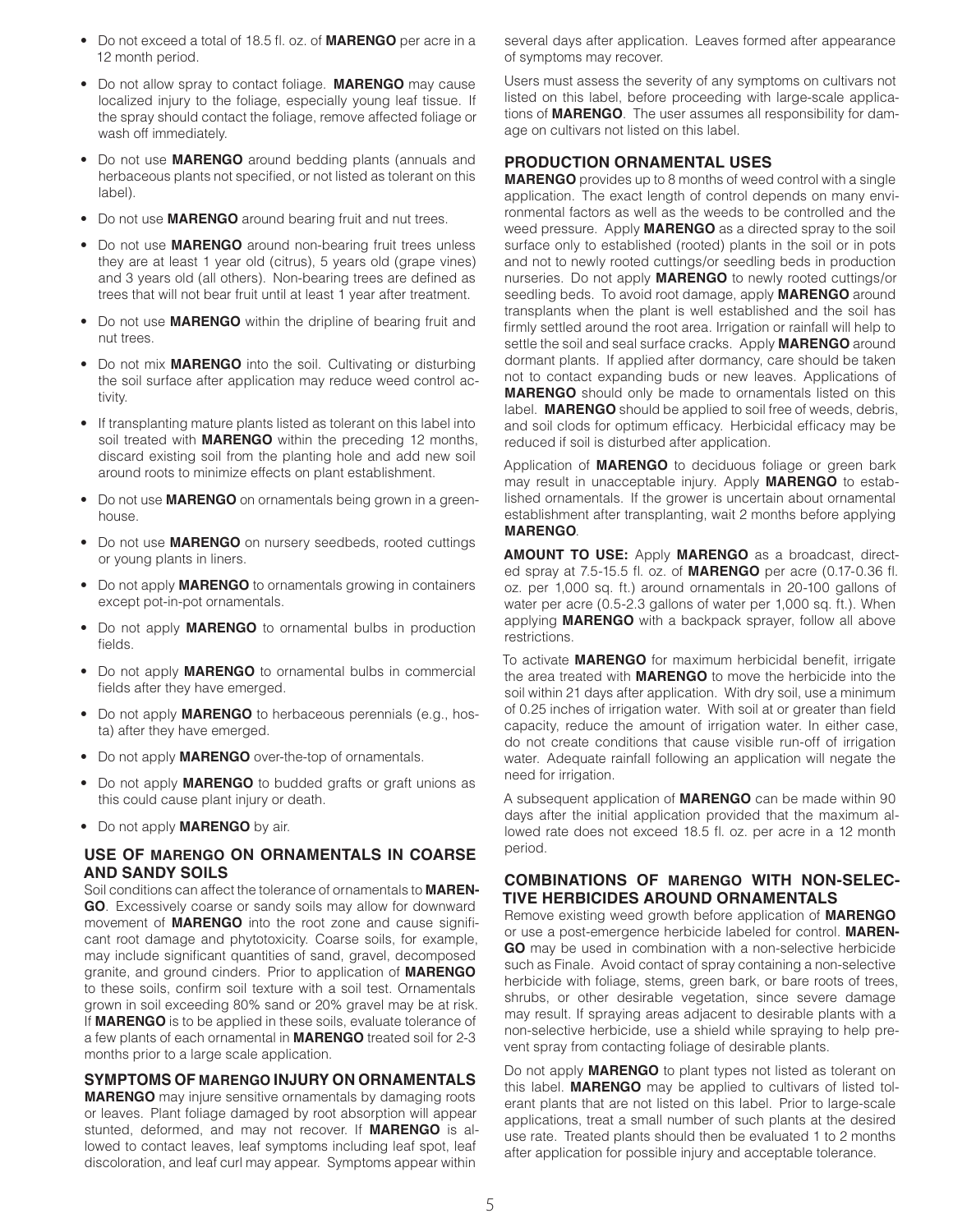- Do not exceed a total of 18.5 fl. oz. of **MARENGO** per acre in a 12 month period.
- Do not allow spray to contact foliage. **MARENGO** may cause localized injury to the foliage, especially young leaf tissue. If the spray should contact the foliage, remove affected foliage or wash off immediately.
- Do not use **MARENGO** around bedding plants (annuals and herbaceous plants not specified, or not listed as tolerant on this label).
- Do not use **MARENGO** around bearing fruit and nut trees.
- Do not use **MARENGO** around non-bearing fruit trees unless they are at least 1 year old (citrus), 5 years old (grape vines) and 3 years old (all others). Non-bearing trees are defined as trees that will not bear fruit until at least 1 year after treatment.
- Do not use **MARENGO** within the dripline of bearing fruit and nut trees.
- Do not mix **MARENGO** into the soil. Cultivating or disturbing the soil surface after application may reduce weed control activity.
- If transplanting mature plants listed as tolerant on this label into soil treated with **MARENGO** within the preceding 12 months, discard existing soil from the planting hole and add new soil around roots to minimize effects on plant establishment.
- Do not use **MARENGO** on ornamentals being grown in a greenhouse.
- Do not use **MARENGO** on nursery seedbeds, rooted cuttings or young plants in liners.
- Do not apply **MARENGO** to ornamentals growing in containers except pot-in-pot ornamentals.
- Do not apply **MARENGO** to ornamental bulbs in production fields.
- Do not apply **MARENGO** to ornamental bulbs in commercial fields after they have emerged.
- Do not apply **MARENGO** to herbaceous perennials (e.g., hosta) after they have emerged.
- Do not apply **MARENGO** over-the-top of ornamentals.
- Do not apply **MARENGO** to budded grafts or graft unions as this could cause plant injury or death.
- Do not apply **MARENGO** by air.

#### **USE OF MARENGO ON ORNAMENTALS IN COARSE AND SANDY SOILS**

Soil conditions can affect the tolerance of ornamentals to **MAREN-GO**. Excessively coarse or sandy soils may allow for downward movement of **MARENGO** into the root zone and cause significant root damage and phytotoxicity. Coarse soils, for example, may include significant quantities of sand, gravel, decomposed granite, and ground cinders. Prior to application of **MARENGO** to these soils, confirm soil texture with a soil test. Ornamentals grown in soil exceeding 80% sand or 20% gravel may be at risk. If **MARENGO** is to be applied in these soils, evaluate tolerance of a few plants of each ornamental in **MARENGO** treated soil for 2-3 months prior to a large scale application.

#### **SYMPTOMS OF MARENGO INJURY ON ORNAMENTALS**

**MARENGO** may injure sensitive ornamentals by damaging roots or leaves. Plant foliage damaged by root absorption will appear stunted, deformed, and may not recover. If **MARENGO** is allowed to contact leaves, leaf symptoms including leaf spot, leaf discoloration, and leaf curl may appear. Symptoms appear within

several days after application. Leaves formed after appearance of symptoms may recover.

Users must assess the severity of any symptoms on cultivars not listed on this label, before proceeding with large-scale applications of **MARENGO**. The user assumes all responsibility for damage on cultivars not listed on this label.

#### **PRODUCTION ORNAMENTAL USES**

**MARENGO** provides up to 8 months of weed control with a single application. The exact length of control depends on many environmental factors as well as the weeds to be controlled and the weed pressure. Apply **MARENGO** as a directed spray to the soil surface only to established (rooted) plants in the soil or in pots and not to newly rooted cuttings/or seedling beds in production nurseries. Do not apply **MARENGO** to newly rooted cuttings/or seedling beds. To avoid root damage, apply **MARENGO** around transplants when the plant is well established and the soil has firmly settled around the root area. Irrigation or rainfall will help to settle the soil and seal surface cracks. Apply **MARENGO** around dormant plants. If applied after dormancy, care should be taken not to contact expanding buds or new leaves. Applications of **MARENGO** should only be made to ornamentals listed on this label. **MARENGO** should be applied to soil free of weeds, debris, and soil clods for optimum efficacy. Herbicidal efficacy may be reduced if soil is disturbed after application.

Application of **MARENGO** to deciduous foliage or green bark may result in unacceptable injury. Apply **MARENGO** to established ornamentals. If the grower is uncertain about ornamental establishment after transplanting, wait 2 months before applying **MARENGO**.

**AMOUNT TO USE:** Apply **MARENGO** as a broadcast, directed spray at 7.5-15.5 fl. oz. of **MARENGO** per acre (0.17-0.36 fl. oz. per 1,000 sq. ft.) around ornamentals in 20-100 gallons of water per acre (0.5-2.3 gallons of water per 1,000 sq. ft.). When applying **MARENGO** with a backpack sprayer, follow all above restrictions.

To activate **MARENGO** for maximum herbicidal benefit, irrigate the area treated with **MARENGO** to move the herbicide into the soil within 21 days after application. With dry soil, use a minimum of 0.25 inches of irrigation water. With soil at or greater than field capacity, reduce the amount of irrigation water. In either case, do not create conditions that cause visible run-off of irrigation water. Adequate rainfall following an application will negate the need for irrigation.

A subsequent application of **MARENGO** can be made within 90 days after the initial application provided that the maximum allowed rate does not exceed 18.5 fl. oz. per acre in a 12 month period.

#### **COMBINATIONS OF MARENGO WITH NON-SELEC-TIVE HERBICIDES AROUND ORNAMENTALS**

Remove existing weed growth before application of **MARENGO** or use a post-emergence herbicide labeled for control. **MAREN-GO** may be used in combination with a non-selective herbicide such as Finale. Avoid contact of spray containing a non-selective herbicide with foliage, stems, green bark, or bare roots of trees, shrubs, or other desirable vegetation, since severe damage may result. If spraying areas adjacent to desirable plants with a non-selective herbicide, use a shield while spraying to help prevent spray from contacting foliage of desirable plants.

Do not apply **MARENGO** to plant types not listed as tolerant on this label. **MARENGO** may be applied to cultivars of listed tolerant plants that are not listed on this label. Prior to large-scale applications, treat a small number of such plants at the desired use rate. Treated plants should then be evaluated 1 to 2 months after application for possible injury and acceptable tolerance.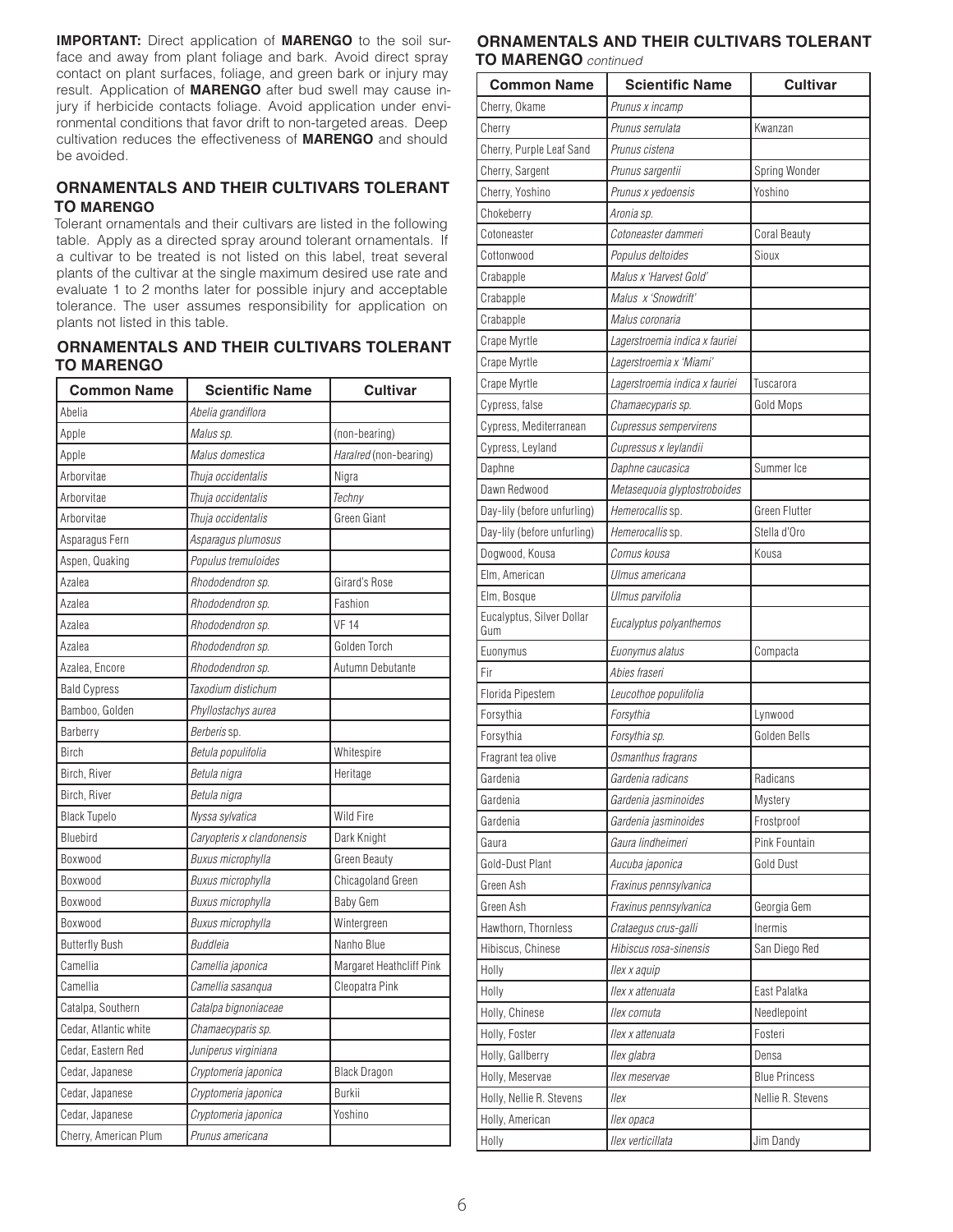**IMPORTANT:** Direct application of **MARENGO** to the soil surface and away from plant foliage and bark. Avoid direct spray contact on plant surfaces, foliage, and green bark or injury may result. Application of **MARENGO** after bud swell may cause injury if herbicide contacts foliage. Avoid application under environmental conditions that favor drift to non-targeted areas. Deep cultivation reduces the effectiveness of **MARENGO** and should be avoided.

## **ORNAMENTALS AND THEIR CULTIVARS TOLERANT TO MARENGO**

Tolerant ornamentals and their cultivars are listed in the following table. Apply as a directed spray around tolerant ornamentals. If a cultivar to be treated is not listed on this label, treat several plants of the cultivar at the single maximum desired use rate and evaluate 1 to 2 months later for possible injury and acceptable tolerance. The user assumes responsibility for application on plants not listed in this table.

## **ORNAMENTALS AND THEIR CULTIVARS TOLERANT TO MARENGO** *continued*

| <b>Common Name</b>    | <b>Scientific Name</b>     | <b>Cultivar</b>          |
|-----------------------|----------------------------|--------------------------|
| Abelia                | Abelia grandiflora         |                          |
| Apple                 | Malus sp.                  | (non-bearing)            |
| Apple                 | Malus domestica            | Haralred (non-bearing)   |
| Arborvitae            | Thuja occidentalis         | Nigra                    |
| Arborvitae            | Thuja occidentalis         | Techny                   |
| Arborvitae            | Thuja occidentalis         | Green Giant              |
| Asparagus Fern        | Asparagus plumosus         |                          |
| Aspen, Quaking        | Populus tremuloides        |                          |
| Azalea                | Rhododendron sp.           | Girard's Rose            |
| Azalea                | Rhododendron sp.           | Fashion                  |
| Azalea                | Rhododendron sp.           | <b>VF 14</b>             |
| Azalea                | Rhododendron sp.           | Golden Torch             |
| Azalea, Encore        | Rhododendron sp.           | Autumn Debutante         |
| <b>Bald Cypress</b>   | Taxodium distichum         |                          |
| Bamboo, Golden        | Phyllostachys aurea        |                          |
| Barberry              | Berberis sp.               |                          |
| <b>Birch</b>          | Betula populifolia         | Whitespire               |
| Birch, River          | Betula nigra               | Heritage                 |
| Birch, River          | Betula nigra               |                          |
| <b>Black Tupelo</b>   | Nyssa sylvatica            | Wild Fire                |
| Bluebird              | Caryopteris x clandonensis | Dark Knight              |
| Boxwood               | <b>Buxus microphylla</b>   | Green Beauty             |
| Boxwood               | <b>Buxus microphylla</b>   | Chicagoland Green        |
| Boxwood               | <b>Buxus microphylla</b>   | <b>Baby Gem</b>          |
| Boxwood               | Buxus microphylla          | Wintergreen              |
| <b>Butterfly Bush</b> | <b>Buddleia</b>            | Nanho Blue               |
| Camellia              | Camellia japonica          | Margaret Heathcliff Pink |
| Camellia              | Camellia sasangua          | Cleopatra Pink           |
| Catalpa, Southern     | Catalpa bignoniaceae       |                          |
| Cedar. Atlantic white | Chamaecyparis sp.          |                          |
| Cedar, Eastern Red    | Juniperus virginiana       |                          |
| Cedar, Japanese       | Cryptomeria japonica       | <b>Black Dragon</b>      |
| Cedar, Japanese       | Cryptomeria japonica       | <b>Burkii</b>            |
| Cedar, Japanese       | Cryptomeria japonica       | Yoshino                  |
| Cherry, American Plum | Prunus americana           |                          |

## **ORNAMENTALS AND THEIR CULTIVARS TOLERANT TO MARENGO** *continued*

| <b>Common Name</b>               | <b>Scientific Name</b>         | <b>Cultivar</b>      |
|----------------------------------|--------------------------------|----------------------|
| Cherry, Okame                    | Prunus x incamp                |                      |
| Cherry                           | Prunus serrulata               | Kwanzan              |
| Cherry, Purple Leaf Sand         | Prunus cistena                 |                      |
| Cherry, Sargent                  | Prunus sargentii               | Spring Wonder        |
| Cherry, Yoshino                  | Prunus x yedoensis             | Yoshino              |
| Chokeberry                       | Aronia sp.                     |                      |
| Cotoneaster                      | Cotoneaster dammeri            | <b>Coral Beauty</b>  |
| Cottonwood                       | Populus deltoides              | Sioux                |
| Crabapple                        | Malus x 'Harvest Gold'         |                      |
| Crabapple                        | Malus x 'Snowdrift'            |                      |
| Crabapple                        | Malus coronaria                |                      |
| Crape Myrtle                     | Lagerstroemia indica x fauriei |                      |
| Crape Myrtle                     | Lagerstroemia x 'Miami'        |                      |
| Crape Myrtle                     | Lagerstroemia indica x fauriei | Tuscarora            |
| Cypress, false                   | Chamaecyparis sp.              | Gold Mops            |
| Cypress, Mediterranean           | Cupressus sempervirens         |                      |
| Cypress, Leyland                 | Cupressus x leylandii          |                      |
| Daphne                           | Daphne caucasica               | Summer Ice           |
| Dawn Redwood                     | Metasequoia glyptostroboides   |                      |
| Day-lily (before unfurling)      | Hemerocallis sp.               | <b>Green Flutter</b> |
| Day-lily (before unfurling)      | Hemerocallis sp.               | Stella d'Oro         |
| Dogwood, Kousa                   | Cornus kousa                   | Kousa                |
| Elm, American                    | Ulmus americana                |                      |
| Elm, Bosque                      | Ulmus parvifolia               |                      |
| Eucalyptus, Silver Dollar<br>Gum | Eucalyptus polyanthemos        |                      |
| Euonymus                         | Euonymus alatus                | Compacta             |
| Fir                              | Abies fraseri                  |                      |
| Florida Pipestem                 | Leucothoe populifolia          |                      |
| Forsythia                        | Forsythia                      | Lynwood              |
| Forsythia                        | Forsythia sp.                  | Golden Bells         |
| Fragrant tea olive               | Osmanthus fragrans             |                      |
| Gardenia                         | Gardenia radicans              | Radicans             |
| Gardenia                         | Gardenia jasminoides           | <b>Mystery</b>       |
| Gardenia                         | Gardenia jasminoides           | Frostproof           |
| Gaura                            | Gaura lindheimeri              | Pink Fountain        |
| Gold-Dust Plant                  | Aucuba japonica                | Gold Dust            |
| Green Ash                        | Fraxinus pennsylvanica         |                      |
| Green Ash                        | Fraxinus pennsylvanica         | Georgia Gem          |
| Hawthorn, Thornless              | Crataegus crus-galli           | Inermis              |
| Hibiscus, Chinese                | Hibiscus rosa-sinensis         | San Diego Red        |
| Holly                            | llex x aquip                   |                      |
| Holly                            | Ilex x attenuata               | East Palatka         |
| Holly, Chinese                   | llex cornuta                   | Needlepoint          |
| Holly, Foster                    | Ilex x attenuata               | Fosteri              |
| Holly, Gallberry                 | llex glabra                    | Densa                |
| Holly, Meservae                  | llex meservae                  | <b>Blue Princess</b> |
| Holly, Nellie R. Stevens         | llex                           | Nellie R. Stevens    |
| Holly, American                  | llex opaca                     |                      |
| Holly                            | llex verticillata              | Jim Dandy            |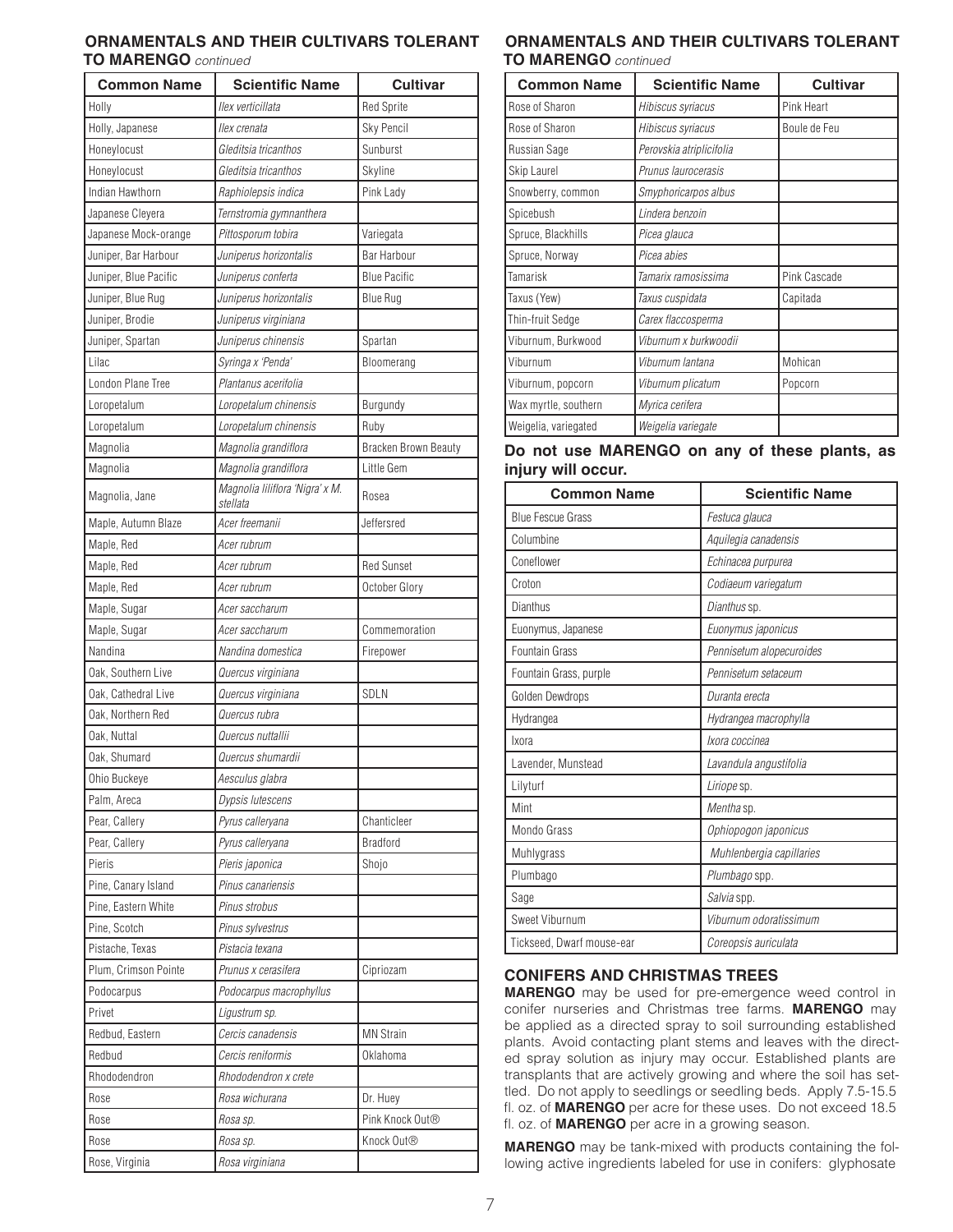## **ORNAMENTALS AND THEIR CULTIVARS TOLERANT TO MARENGO** *continued*

| <b>Common Name</b>    | <b>Scientific Name</b>                      | <b>Cultivar</b>             |
|-----------------------|---------------------------------------------|-----------------------------|
| Holly                 | llex verticillata                           | <b>Red Sprite</b>           |
| Holly, Japanese       | llex crenata                                | Sky Pencil                  |
| Honeylocust           | Gleditsia tricanthos                        | Sunburst                    |
| Honeylocust           | Gleditsia tricanthos                        | Skyline                     |
| Indian Hawthorn       | Raphiolepsis indica                         | Pink Lady                   |
| Japanese Cleyera      | Ternstromia gymnanthera                     |                             |
| Japanese Mock-orange  | Pittosporum tobira                          | Variegata                   |
| Juniper, Bar Harbour  | Juniperus horizontalis                      | Bar Harbour                 |
| Juniper, Blue Pacific | Juniperus conferta                          | <b>Blue Pacific</b>         |
| Juniper, Blue Rug     | Juniperus horizontalis                      | <b>Blue Rug</b>             |
| Juniper, Brodie       | Juniperus virginiana                        |                             |
| Juniper, Spartan      | Juniperus chinensis                         | Spartan                     |
| Lilac                 | Syringa x 'Penda'                           | Bloomerang                  |
| London Plane Tree     | Plantanus acerifolia                        |                             |
| Loropetalum           | Loropetalum chinensis                       | Burgundy                    |
| Loropetalum           | Loropetalum chinensis                       | Ruby                        |
| Magnolia              | Magnolia grandiflora                        | Bracken Brown Beauty        |
| Magnolia              | Magnolia grandiflora                        | Little Gem                  |
| Magnolia, Jane        | Magnolia liliflora 'Nigra' x M.<br>stellata | Rosea                       |
| Maple, Autumn Blaze   | Acer freemanii                              | Jeffersred                  |
| Maple, Red            | Acer rubrum                                 |                             |
| Maple, Red            | Acer rubrum                                 | <b>Red Sunset</b>           |
| Maple, Red            | Acer rubrum                                 | October Glory               |
| Maple, Sugar          | Acer saccharum                              |                             |
| Maple, Sugar          | Acer saccharum                              | Commemoration               |
| Nandina               | Nandina domestica                           | Firepower                   |
| Oak, Southern Live    | Quercus virginiana                          |                             |
| Oak, Cathedral Live   | Quercus virginiana                          | <b>SDLN</b>                 |
| Oak, Northern Red     | Quercus rubra                               |                             |
| Oak. Nuttal           | Quercus nuttallii                           |                             |
| Oak, Shumard          | Quercus shumardii                           |                             |
| Ohio Buckeye          | Aesculus glabra                             |                             |
| Palm, Areca           | Dypsis lutescens                            |                             |
| Pear, Callery         | Pyrus calleryana                            | Chanticleer                 |
| Pear, Callery         | Pyrus calleryana                            | <b>Bradford</b>             |
| Pieris                | Pieris japonica                             | Shojo                       |
| Pine, Canary Island   | Pinus canariensis                           |                             |
| Pine, Eastern White   | Pinus strobus                               |                             |
| Pine, Scotch          | Pinus sylvestrus                            |                             |
| Pistache, Texas       | Pistacia texana                             |                             |
| Plum, Crimson Pointe  | Prunus x cerasifera                         | Cipriozam                   |
| Podocarpus            | Podocarpus macrophyllus                     |                             |
| Privet                | Ligustrum sp.                               |                             |
| Redbud, Eastern       | Cercis canadensis                           | <b>MN Strain</b>            |
| Redbud                | Cercis reniformis                           | Oklahoma                    |
| Rhododendron          | Rhododendron x crete                        |                             |
| Rose                  | Rosa wichurana                              | Dr. Huey                    |
| Rose                  | Rosa sp.                                    | Pink Knock Out <sup>®</sup> |
| Rose                  | Rosa sp.                                    | Knock Out®                  |
| Rose, Virginia        | Rosa virginiana                             |                             |
|                       |                                             |                             |

## **ORNAMENTALS AND THEIR CULTIVARS TOLERANT TO MARENGO** *continued*

| <b>Common Name</b>   | <b>Scientific Name</b>   | <b>Cultivar</b> |
|----------------------|--------------------------|-----------------|
| Rose of Sharon       | Hibiscus syriacus        | Pink Heart      |
| Rose of Sharon       | Hibiscus syriacus        | Boule de Feu    |
| Russian Sage         | Perovskia atriplicifolia |                 |
| Skip Laurel          | Prunus laurocerasis      |                 |
| Snowberry, common    | Smyphoricarpos albus     |                 |
| Spicebush            | Lindera benzoin          |                 |
| Spruce, Blackhills   | Picea glauca             |                 |
| Spruce, Norway       | Picea abies              |                 |
| Tamarisk             | Tamarix ramosissima      | Pink Cascade    |
| Taxus (Yew)          | Taxus cuspidata          | Capitada        |
| Thin-fruit Sedge     | Carex flaccosperma       |                 |
| Viburnum, Burkwood   | Viburnum x burkwoodii    |                 |
| Viburnum             | Viburnum lantana         | Mohican         |
| Viburnum, popcorn    | Viburnum plicatum        | Popcorn         |
| Wax myrtle, southern | Myrica cerifera          |                 |
| Weigelia, variegated | Weigelia variegate       |                 |

## **Do not use MARENGO on any of these plants, as injury will occur.**

| <b>Common Name</b>        | <b>Scientific Name</b>   |
|---------------------------|--------------------------|
| <b>Blue Fescue Grass</b>  | Festuca glauca           |
| Columbine                 | Aquilegia canadensis     |
| Coneflower                | Echinacea purpurea       |
| Croton                    | Codiaeum variegatum      |
| Dianthus                  | Dianthus sp.             |
| Euonymus, Japanese        | Euonymus japonicus       |
| Fountain Grass            | Pennisetum alopecuroides |
| Fountain Grass, purple    | Pennisetum setaceum      |
| Golden Dewdrops           | Duranta erecta           |
| Hydrangea                 | Hydrangea macrophylla    |
| Ixora                     | Ixora coccinea           |
| Lavender, Munstead        | Lavandula angustifolia   |
| Lilyturf                  | Liriope sp.              |
| Mint                      | Mentha sp.               |
| Mondo Grass               | Ophiopogon japonicus     |
| Muhlygrass                | Muhlenbergia capillaries |
| Plumbago                  | Plumbago spp.            |
| Sage                      | Salvia spp.              |
| Sweet Viburnum            | Viburnum odoratissimum   |
| Tickseed, Dwarf mouse-ear | Coreopsis auriculata     |

# **CONIFERS AND CHRISTMAS TREES**

**MARENGO** may be used for pre-emergence weed control in conifer nurseries and Christmas tree farms. **MARENGO** may be applied as a directed spray to soil surrounding established plants. Avoid contacting plant stems and leaves with the directed spray solution as injury may occur. Established plants are transplants that are actively growing and where the soil has settled. Do not apply to seedlings or seedling beds. Apply 7.5-15.5 fl. oz. of **MARENGO** per acre for these uses. Do not exceed 18.5 fl. oz. of **MARENGO** per acre in a growing season.

**MARENGO** may be tank-mixed with products containing the following active ingredients labeled for use in conifers: glyphosate